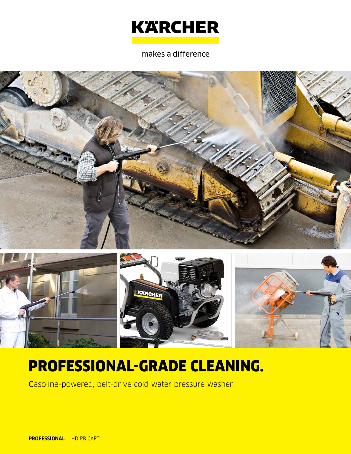

makes a difference





# PROFESSIONAL-GRADE CLEANING.

Gasoline-powered, belt-drive cold water pressure washer.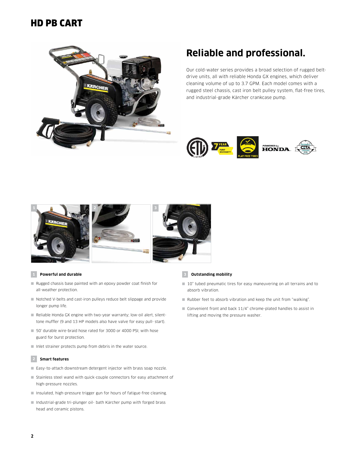### HD PB CART



### **Reliable and professional.**

Our cold-water series provides a broad selection of rugged beltdrive units, all with reliable Honda GX engines, which deliver cleaning volume of up to 3.7 GPM. Each model comes with a rugged steel chassis, cast iron belt pulley system, flat-free tires, and industrial-grade Kärcher crankcase pump.





#### **1 Powerful and durable**

- Rugged chassis base painted with an epoxy powder coat finish for all-weather protection.
- Notched V-belts and cast-iron pulleys reduce belt slippage and provide longer pump life.
- Reliable Honda GX engine with two-year warranty; low-oil alert, silenttone muffler (9 and 13 HP models also have valve for easy pull- start).
- 50' durable wire-braid hose rated for 3000 or 4000 PSI; with hose guard for burst protection.
- Inlet strainer protects pump from debris in the water source.

#### **2 Smart features**

- Easy-to-attach downstream detergent injector with brass soap nozzle.
- Stainless steel wand with quick-couple connectors for easy attachment of high-pressure nozzles.
- Insulated, high-pressure trigger gun for hours of fatigue-free cleaning.
- Industrial-grade tri-plunger oil- bath Kärcher pump with forged brass head and ceramic pistons.

#### **3 Outstanding mobility**

- 10" tubed pneumatic tires for easy maneuvering on all terrains and to absorb vibration.
- Rubber feet to absorb vibration and keep the unit from "walking".
- Convenient front and back 11/4" chrome-plated handles to assist in lifting and moving the pressure washer.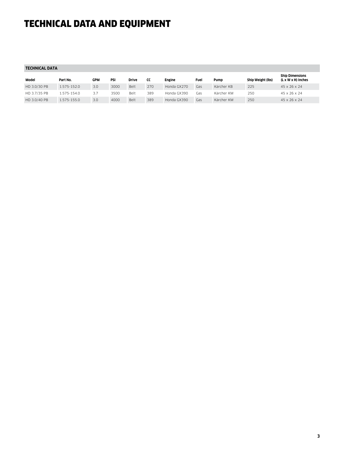## TECHNICAL DATA AND EQUIPMENT

| TECHNICAL DATA |             |            |      |              |     |             |      |            |                   |                                              |
|----------------|-------------|------------|------|--------------|-----|-------------|------|------------|-------------------|----------------------------------------------|
| Model          | Part No.    | <b>GPM</b> | PSI  | <b>Drive</b> | cc  | Engine      | Fuel | Pump       | Ship Weight (lbs) | <b>Ship Dimensions</b><br>(L x W x H) Inches |
| HD 3.0/30 PB   | 1.575-152.0 | 3.0        | 3000 | Belt         | 270 | Honda GX270 | Gas  | Kärcher KB | 225               | 45 x 26 x 24                                 |
| HD 3.7/35 PB   | 1.575-154.0 | 3.7        | 3500 | Belt         | 389 | Honda GX390 | Gas  | Kärcher KM | 250               | 45 x 26 x 24                                 |
| HD 3.0/40 PB   | 1.575-155.0 | 3.0        | 4000 | Belt         | 389 | Honda GX390 | Gas  | Kärcher KM | 250               | 45 x 26 x 24                                 |